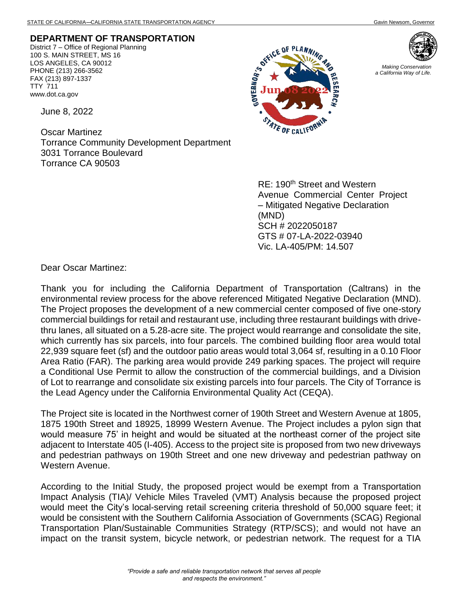## **DEPARTMENT OF TRANSPORTATION**

District 7 – Office of Regional Planning 100 S. MAIN STREET, MS 16 LOS ANGELES, CA 90012 PHONE (213) 266-3562 FAX (213) 897-1337 TTY 711 www.dot.ca.gov

June 8, 2022

Oscar Martinez Torrance Community Development Department 3031 Torrance Boulevard Torrance CA 90503





*Making Conservation a California Way of Life.*

RE: 190<sup>th</sup> Street and Western Avenue Commercial Center Project – Mitigated Negative Declaration (MND) SCH # 2022050187 GTS # 07-LA-2022-03940 Vic. LA-405/PM: 14.507

Dear Oscar Martinez:

Thank you for including the California Department of Transportation (Caltrans) in the environmental review process for the above referenced Mitigated Negative Declaration (MND). The Project proposes the development of a new commercial center composed of five one-story commercial buildings for retail and restaurant use, including three restaurant buildings with drivethru lanes, all situated on a 5.28-acre site. The project would rearrange and consolidate the site, which currently has six parcels, into four parcels. The combined building floor area would total 22,939 square feet (sf) and the outdoor patio areas would total 3,064 sf, resulting in a 0.10 Floor Area Ratio (FAR). The parking area would provide 249 parking spaces. The project will require a Conditional Use Permit to allow the construction of the commercial buildings, and a Division of Lot to rearrange and consolidate six existing parcels into four parcels. The City of Torrance is the Lead Agency under the California Environmental Quality Act (CEQA).

The Project site is located in the Northwest corner of 190th Street and Western Avenue at 1805, 1875 190th Street and 18925, 18999 Western Avenue. The Project includes a pylon sign that would measure 75' in height and would be situated at the northeast corner of the project site adjacent to Interstate 405 (I-405). Access to the project site is proposed from two new driveways and pedestrian pathways on 190th Street and one new driveway and pedestrian pathway on Western Avenue.

According to the Initial Study, the proposed project would be exempt from a Transportation Impact Analysis (TIA)/ Vehicle Miles Traveled (VMT) Analysis because the proposed project would meet the City's local-serving retail screening criteria threshold of 50,000 square feet; it would be consistent with the Southern California Association of Governments (SCAG) Regional Transportation Plan/Sustainable Communities Strategy (RTP/SCS); and would not have an impact on the transit system, bicycle network, or pedestrian network. The request for a TIA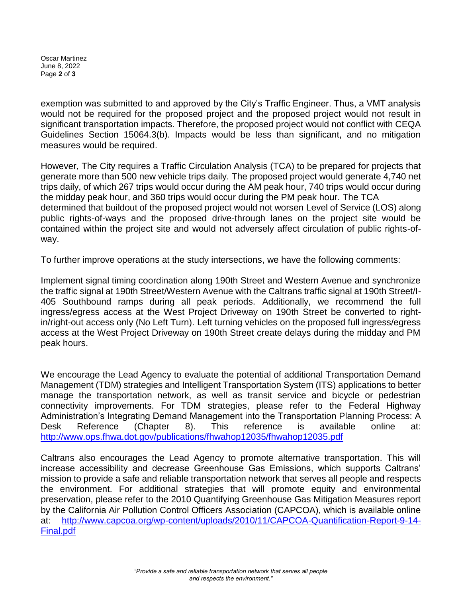Oscar Martinez June 8, 2022 Page **2** of **3**

exemption was submitted to and approved by the City's Traffic Engineer. Thus, a VMT analysis would not be required for the proposed project and the proposed project would not result in significant transportation impacts. Therefore, the proposed project would not conflict with CEQA Guidelines Section 15064.3(b). Impacts would be less than significant, and no mitigation measures would be required.

However, The City requires a Traffic Circulation Analysis (TCA) to be prepared for projects that generate more than 500 new vehicle trips daily. The proposed project would generate 4,740 net trips daily, of which 267 trips would occur during the AM peak hour, 740 trips would occur during the midday peak hour, and 360 trips would occur during the PM peak hour. The TCA determined that buildout of the proposed project would not worsen Level of Service (LOS) along public rights-of-ways and the proposed drive-through lanes on the project site would be contained within the project site and would not adversely affect circulation of public rights-ofway.

To further improve operations at the study intersections, we have the following comments:

Implement signal timing coordination along 190th Street and Western Avenue and synchronize the traffic signal at 190th Street/Western Avenue with the Caltrans traffic signal at 190th Street/I-405 Southbound ramps during all peak periods. Additionally, we recommend the full ingress/egress access at the West Project Driveway on 190th Street be converted to rightin/right-out access only (No Left Turn). Left turning vehicles on the proposed full ingress/egress access at the West Project Driveway on 190th Street create delays during the midday and PM peak hours.

We encourage the Lead Agency to evaluate the potential of additional Transportation Demand Management (TDM) strategies and Intelligent Transportation System (ITS) applications to better manage the transportation network, as well as transit service and bicycle or pedestrian connectivity improvements. For TDM strategies, please refer to the Federal Highway Administration's Integrating Demand Management into the Transportation Planning Process: A Desk Reference (Chapter 8). This reference is available online at: <http://www.ops.fhwa.dot.gov/publications/fhwahop12035/fhwahop12035.pdf>

Caltrans also encourages the Lead Agency to promote alternative transportation. This will increase accessibility and decrease Greenhouse Gas Emissions, which supports Caltrans' mission to provide a safe and reliable transportation network that serves all people and respects the environment. For additional strategies that will promote equity and environmental preservation, please refer to the 2010 Quantifying Greenhouse Gas Mitigation Measures report by the California Air Pollution Control Officers Association (CAPCOA), which is available online at: [http://www.capcoa.org/wp-content/uploads/2010/11/CAPCOA-Quantification-Report-9-14-](http://www.capcoa.org/wp-content/uploads/2010/11/CAPCOA-Quantification-Report-9-14-Final.pdf) [Final.pdf](http://www.capcoa.org/wp-content/uploads/2010/11/CAPCOA-Quantification-Report-9-14-Final.pdf)